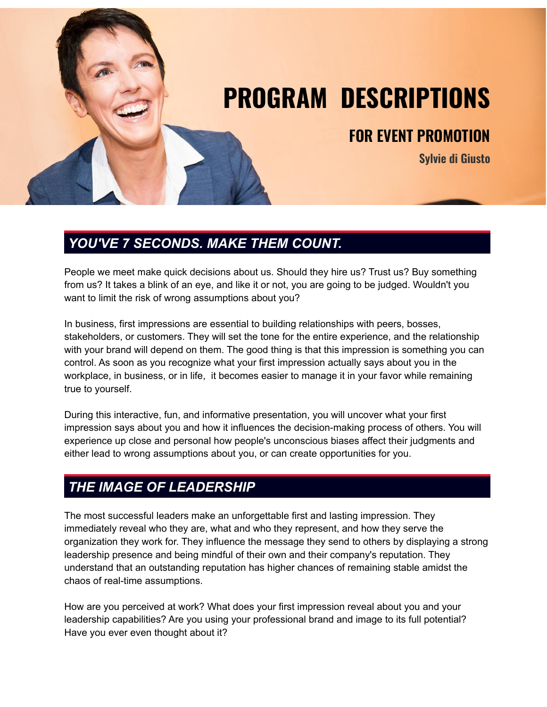

## *YOU'VE 7 SECONDS. MAKE THEM COUNT.*

People we meet make quick decisions about us. Should they hire us? Trust us? Buy something from us? It takes a blink of an eye, and like it or not, you are going to be judged. Wouldn't you want to limit the risk of wrong assumptions about you?

In business, first impressions are essential to building relationships with peers, bosses, stakeholders, or customers. They will set the tone for the entire experience, and the relationship with your brand will depend on them. The good thing is that this impression is something you can control. As soon as you recognize what your first impression actually says about you in the workplace, in business, or in life, it becomes easier to manage it in your favor while remaining true to yourself.

During this interactive, fun, and informative presentation, you will uncover what your first impression says about you and how it influences the decision-making process of others. You will experience up close and personal how people's unconscious biases affect their judgments and either lead to wrong assumptions about you, or can create opportunities for you.

# *THE IMAGE OF LEADERSHIP*

The most successful leaders make an unforgettable first and lasting impression. They immediately reveal who they are, what and who they represent, and how they serve the organization they work for. They influence the message they send to others by displaying a strong leadership presence and being mindful of their own and their company's reputation. They understand that an outstanding reputation has higher chances of remaining stable amidst the chaos of real-time assumptions.

How are you perceived at work? What does your first impression reveal about you and your leadership capabilities? Are you using your professional brand and image to its full potential? Have you ever even thought about it?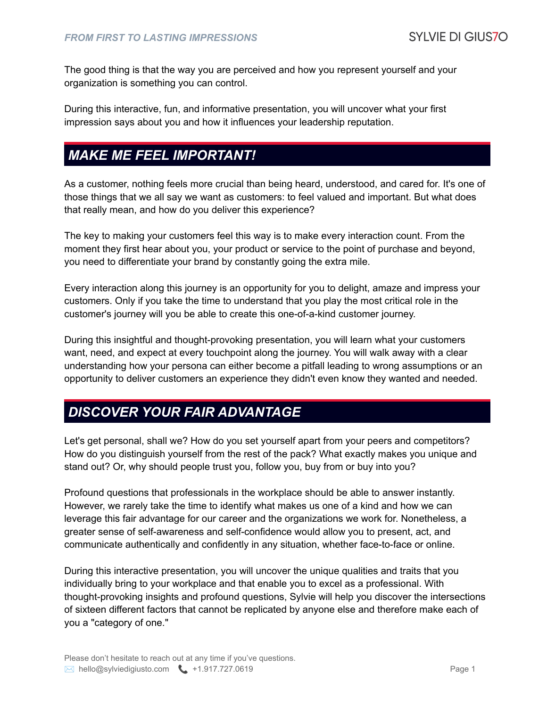The good thing is that the way you are perceived and how you represent yourself and your organization is something you can control.

During this interactive, fun, and informative presentation, you will uncover what your first impression says about you and how it influences your leadership reputation.

### *MAKE ME FEEL IMPORTANT!*

As a customer, nothing feels more crucial than being heard, understood, and cared for. It's one of those things that we all say we want as customers: to feel valued and important. But what does that really mean, and how do you deliver this experience?

The key to making your customers feel this way is to make every interaction count. From the moment they first hear about you, your product or service to the point of purchase and beyond, you need to differentiate your brand by constantly going the extra mile.

Every interaction along this journey is an opportunity for you to delight, amaze and impress your customers. Only if you take the time to understand that you play the most critical role in the customer's journey will you be able to create this one-of-a-kind customer journey.

During this insightful and thought-provoking presentation, you will learn what your customers want, need, and expect at every touchpoint along the journey. You will walk away with a clear understanding how your persona can either become a pitfall leading to wrong assumptions or an opportunity to deliver customers an experience they didn't even know they wanted and needed.

#### *DISCOVER YOUR FAIR ADVANTAGE*

Let's get personal, shall we? How do you set yourself apart from your peers and competitors? How do you distinguish yourself from the rest of the pack? What exactly makes you unique and stand out? Or, why should people trust you, follow you, buy from or buy into you?

Profound questions that professionals in the workplace should be able to answer instantly. However, we rarely take the time to identify what makes us one of a kind and how we can leverage this fair advantage for our career and the organizations we work for. Nonetheless, a greater sense of self-awareness and self-confidence would allow you to present, act, and communicate authentically and confidently in any situation, whether face-to-face or online.

During this interactive presentation, you will uncover the unique qualities and traits that you individually bring to your workplace and that enable you to excel as a professional. With thought-provoking insights and profound questions, Sylvie will help you discover the intersections of sixteen different factors that cannot be replicated by anyone else and therefore make each of you a "category of one."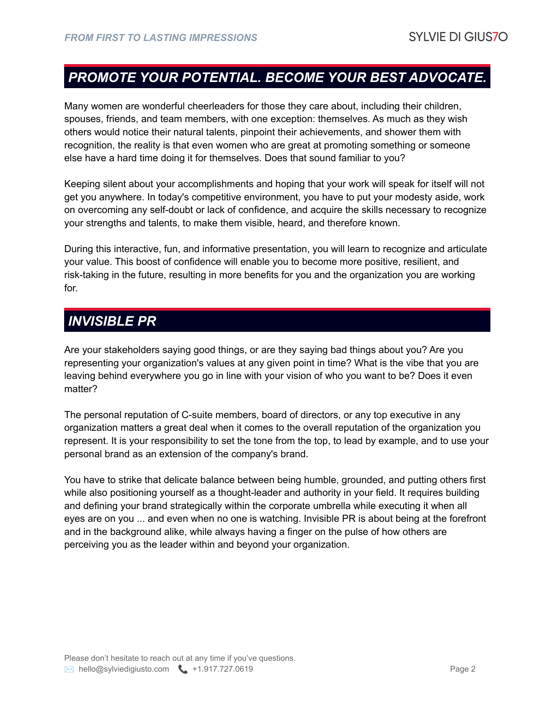### *PROMOTE YOUR POTENTIAL. BECOME YOUR BEST ADVOCATE.*

Many women are wonderful cheerleaders for those they care about, including their children, spouses, friends, and team members, with one exception: themselves. As much as they wish others would notice their natural talents, pinpoint their achievements, and shower them with recognition, the reality is that even women who are great at promoting something or someone else have a hard time doing it for themselves. Does that sound familiar to you?

Keeping silent about your accomplishments and hoping that your work will speak for itself will not get you anywhere. In today's competitive environment, you have to put your modesty aside, work on overcoming any self-doubt or lack of confidence, and acquire the skills necessary to recognize your strengths and talents, to make them visible, heard, and therefore known.

During this interactive, fun, and informative presentation, you will learn to recognize and articulate your value. This boost of confidence will enable you to become more positive, resilient, and risk-taking in the future, resulting in more benefits for you and the organization you are working for.

#### *INVISIBLE PR*

Are your stakeholders saying good things, or are they saying bad things about you? Are you representing your organization's values at any given point in time? What is the vibe that you are leaving behind everywhere you go in line with your vision of who you want to be? Does it even matter?

The personal reputation of C-suite members, board of directors, or any top executive in any organization matters a great deal when it comes to the overall reputation of the organization you represent. It is your responsibility to set the tone from the top, to lead by example, and to use your personal brand as an extension of the company's brand.

You have to strike that delicate balance between being humble, grounded, and putting others first while also positioning yourself as a thought-leader and authority in your field. It requires building and defining your brand strategically within the corporate umbrella while executing it when all eyes are on you ... and even when no one is watching. Invisible PR is about being at the forefront and in the background alike, while always having a finger on the pulse of how others are perceiving you as the leader within and beyond your organization.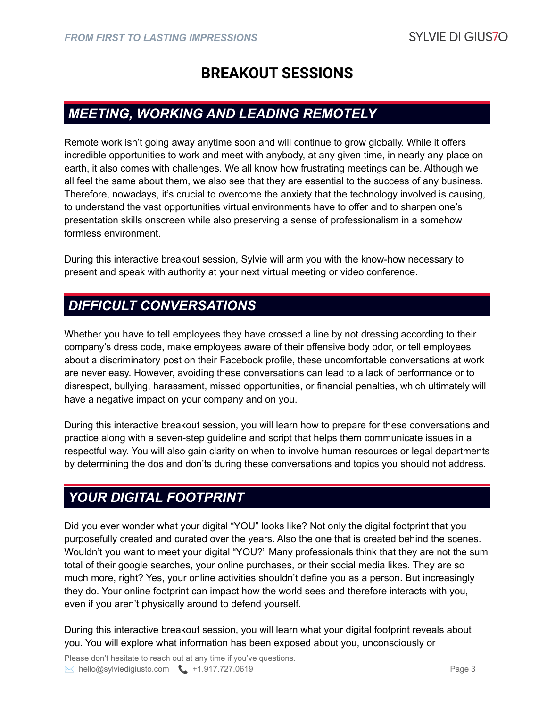## **BREAKOUT SESSIONS**

#### *MEETING, WORKING AND LEADING REMOTELY*

Remote work isn't going away anytime soon and will continue to grow globally. While it offers incredible opportunities to work and meet with anybody, at any given time, in nearly any place on earth, it also comes with challenges. We all know how frustrating meetings can be. Although we all feel the same about them, we also see that they are essential to the success of any business. Therefore, nowadays, it's crucial to overcome the anxiety that the technology involved is causing, to understand the vast opportunities virtual environments have to offer and to sharpen one's presentation skills onscreen while also preserving a sense of professionalism in a somehow formless environment.

During this interactive breakout session, Sylvie will arm you with the know-how necessary to present and speak with authority at your next virtual meeting or video conference.

#### *DIFFICULT CONVERSATIONS*

Whether you have to tell employees they have crossed a line by not dressing according to their company's dress code, make employees aware of their offensive body odor, or tell employees about a discriminatory post on their Facebook profile, these uncomfortable conversations at work are never easy. However, avoiding these conversations can lead to a lack of performance or to disrespect, bullying, harassment, missed opportunities, or financial penalties, which ultimately will have a negative impact on your company and on you.

During this interactive breakout session, you will learn how to prepare for these conversations and practice along with a seven-step guideline and script that helps them communicate issues in a respectful way. You will also gain clarity on when to involve human resources or legal departments by determining the dos and don'ts during these conversations and topics you should not address.

### *YOUR DIGITAL FOOTPRINT*

Did you ever wonder what your digital "YOU" looks like? Not only the digital footprint that you purposefully created and curated over the years. Also the one that is created behind the scenes. Wouldn't you want to meet your digital "YOU?" Many professionals think that they are not the sum total of their google searches, your online purchases, or their social media likes. They are so much more, right? Yes, your online activities shouldn't define you as a person. But increasingly they do. Your online footprint can impact how the world sees and therefore interacts with you, even if you aren't physically around to defend yourself.

During this interactive breakout session, you will learn what your digital footprint reveals about you. You will explore what information has been exposed about you, unconsciously or